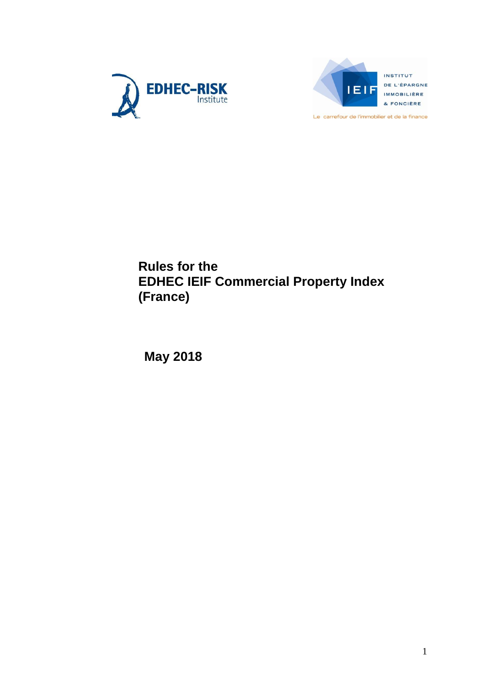



INSTITUT DE L'ÉPARGNE **IMMOBILIÈRE** & FONCIÈRE

Le carrefour de l'immobilier et de la finance

## **Rules for the EDHEC IEIF Commercial Property Index (France)**

**May 2018**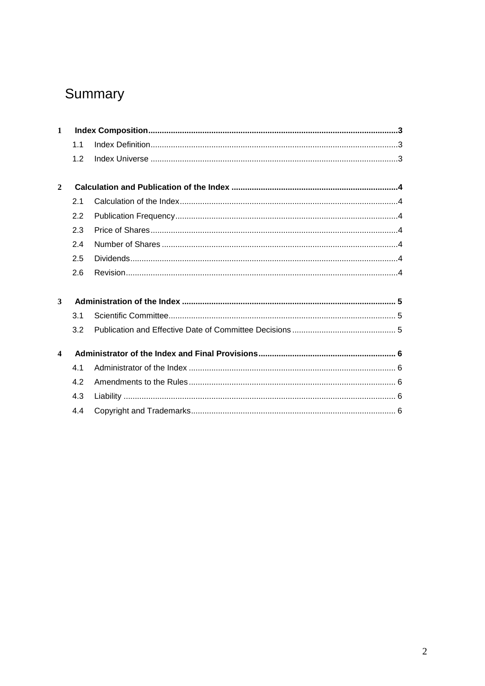# Summary

| $\mathbf{1}$            |     |  |
|-------------------------|-----|--|
|                         | 1.1 |  |
|                         | 1.2 |  |
| $\mathbf{2}$            |     |  |
|                         | 2.1 |  |
|                         | 2.2 |  |
|                         | 2.3 |  |
|                         | 2.4 |  |
|                         | 2.5 |  |
|                         | 2.6 |  |
| 3                       |     |  |
|                         | 3.1 |  |
|                         | 3.2 |  |
| $\overline{\mathbf{4}}$ |     |  |
|                         | 4.1 |  |
|                         | 4.2 |  |
|                         | 4.3 |  |
|                         | 4.4 |  |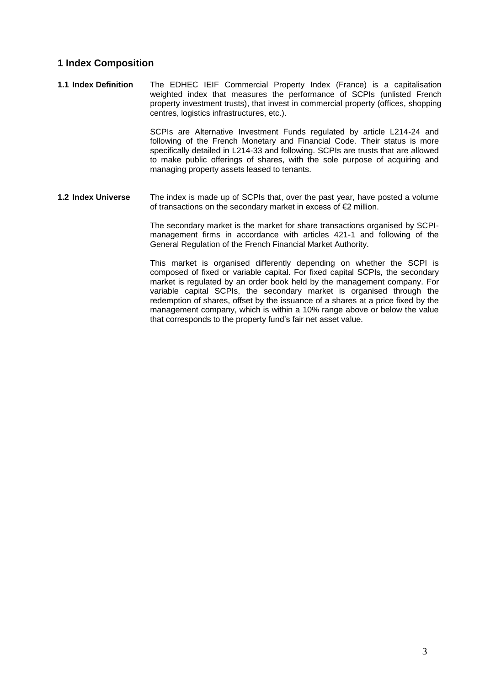#### **1 Index Composition**

**1.1 Index Definition** The EDHEC IEIF Commercial Property Index (France) is a capitalisation weighted index that measures the performance of SCPIs (unlisted French property investment trusts), that invest in commercial property (offices, shopping centres, logistics infrastructures, etc.).

> SCPIs are Alternative Investment Funds regulated by article L214-24 and following of the French Monetary and Financial Code. Their status is more specifically detailed in L214-33 and following. SCPIs are trusts that are allowed to make public offerings of shares, with the sole purpose of acquiring and managing property assets leased to tenants.

**1.2 Index Universe** The index is made up of SCPIs that, over the past year, have posted a volume of transactions on the secondary market in excess of €2 million.

> The secondary market is the market for share transactions organised by SCPImanagement firms in accordance with articles 421-1 and following of the General Regulation of the French Financial Market Authority.

> This market is organised differently depending on whether the SCPI is composed of fixed or variable capital. For fixed capital SCPIs, the secondary market is regulated by an order book held by the management company. For variable capital SCPIs, the secondary market is organised through the redemption of shares, offset by the issuance of a shares at a price fixed by the management company, which is within a 10% range above or below the value that corresponds to the property fund's fair net asset value.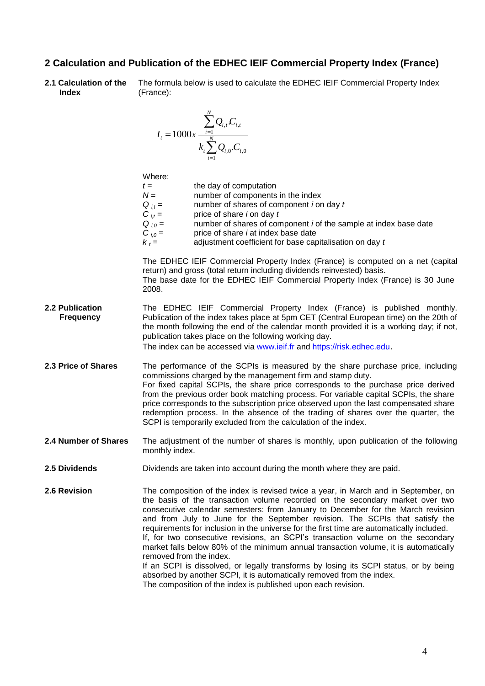#### **2 Calculation and Publication of the EDHEC IEIF Commercial Property Index (France)**

**2.1 Calculation of the Index** The formula below is used to calculate the EDHEC IEIF Commercial Property Index (France):

$$
I_{t} = 1000x \frac{\sum_{i=1}^{N} Q_{i,t} C_{i,t}}{k_{t} \sum_{i=1}^{N} Q_{i,0} C_{i,0}}
$$

Where: *t* = the day of computation *N* = number of components in the index  $Q_{i,t}$  = number of shares of component *i* on day *t*<br> $C_{i,t}$  = price of share *i* on day *t C i,t =* price of share *i* on day *t Q*  $_{i,0}$  = number of shares of component *i* of the sample at index base date *C*  $_{i,0}$  = price of share *i* at index base date price of share *i* at index base date  $k_t =$  adjustment coefficient for base capitalisation on day *t* The EDHEC IEIF Commercial Property Index (France) is computed on a net (capital return) and gross (total return including dividends reinvested) basis. The base date for the EDHEC IEIF Commercial Property Index (France) is 30 June 2008. **2.2 Publication Frequency** The EDHEC IEIF Commercial Property Index (France) is published monthly. Publication of the index takes place at 5pm CET (Central European time) on the 20th of the month following the end of the calendar month provided it is a working day; if not, publication takes place on the following working day. The index can be accessed via [www.ieif.fr](http://www.ieif-indices.com/) and [https://risk.edhec.edu](https://risk.edhec.edu/). **2.3 Price of Shares** The performance of the SCPIs is measured by the share purchase price, including commissions charged by the management firm and stamp duty. For fixed capital SCPIs, the share price corresponds to the purchase price derived from the previous order book matching process. For variable capital SCPIs, the share price corresponds to the subscription price observed upon the last compensated share redemption process. In the absence of the trading of shares over the quarter, the SCPI is temporarily excluded from the calculation of the index. **2.4 Number of Shares** The adjustment of the number of shares is monthly, upon publication of the following monthly index. **2.5 Dividends** Dividends are taken into account during the month where they are paid. **2.6 Revision** The composition of the index is revised twice a year, in March and in September, on the basis of the transaction volume recorded on the secondary market over two consecutive calendar semesters: from January to December for the March revision and from July to June for the September revision. The SCPIs that satisfy the requirements for inclusion in the universe for the first time are automatically included.

If, for two consecutive revisions, an SCPI's transaction volume on the secondary market falls below 80% of the minimum annual transaction volume, it is automatically removed from the index. If an SCPI is dissolved, or legally transforms by losing its SCPI status, or by being

absorbed by another SCPI, it is automatically removed from the index. The composition of the index is published upon each revision.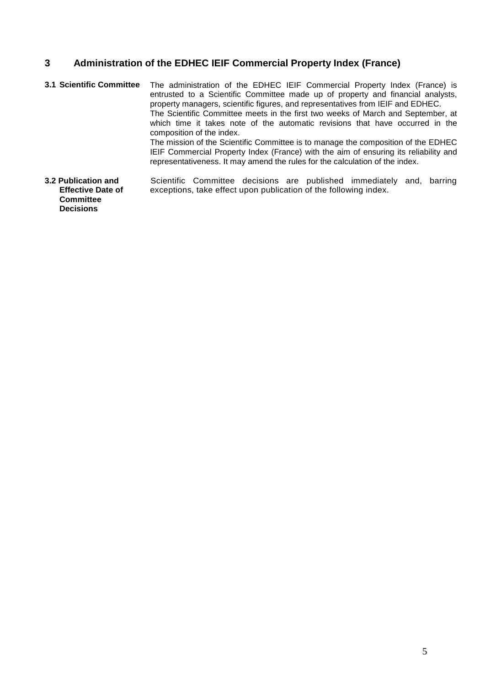### **3 Administration of the EDHEC IEIF Commercial Property Index (France)**

- **3.1 Scientific Committee** The administration of the EDHEC IEIF Commercial Property Index (France) is entrusted to a Scientific Committee made up of property and financial analysts, property managers, scientific figures, and representatives from IEIF and EDHEC. The Scientific Committee meets in the first two weeks of March and September, at which time it takes note of the automatic revisions that have occurred in the composition of the index. The mission of the Scientific Committee is to manage the composition of the EDHEC IEIF Commercial Property Index (France) with the aim of ensuring its reliability and representativeness. It may amend the rules for the calculation of the index.
- **3.2 Publication and Effective Date of Committee Decisions** Scientific Committee decisions are published immediately and, barring exceptions, take effect upon publication of the following index.